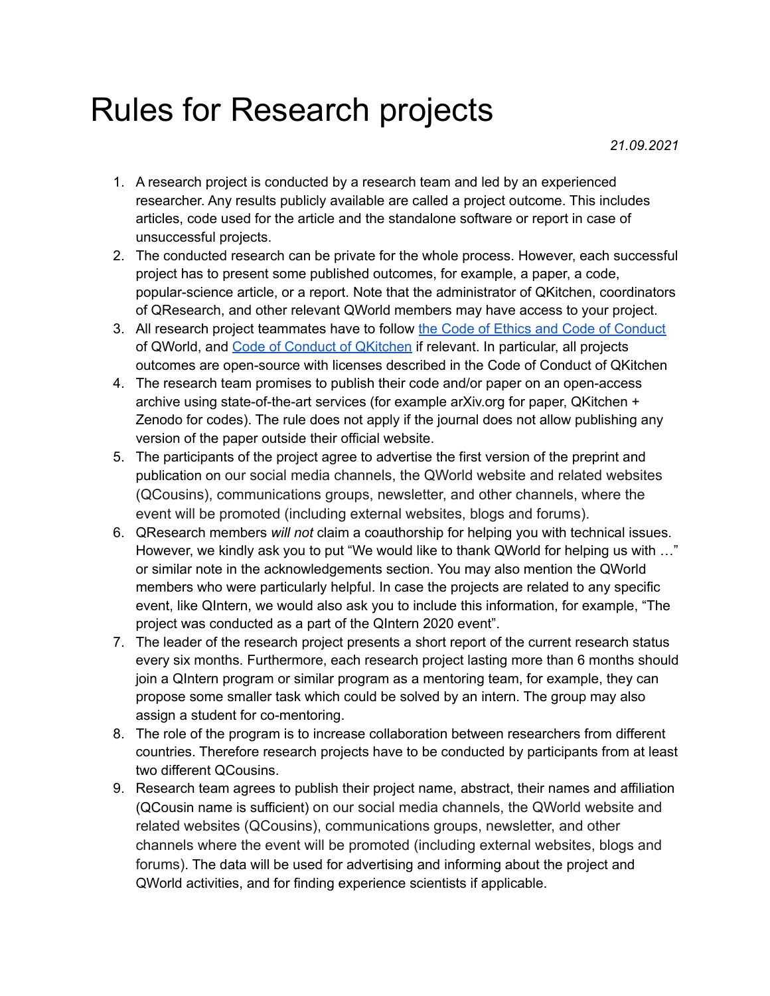## Rules for Research projects

*21.09.2021*

- 1. A research project is conducted by a research team and led by an experienced researcher. Any results publicly available are called a project outcome. This includes articles, code used for the article and the standalone software or report in case of unsuccessful projects.
- 2. The conducted research can be private for the whole process. However, each successful project has to present some published outcomes, for example, a paper, a code, popular-science article, or a report. Note that the administrator of QKitchen, coordinators of QResearch, and other relevant QWorld members may have access to your project.
- 3. All research project teammates have to follow the Code of Ethics and Code of [Conduct](https://gitlab.com/qkitchen/qworld-documentation/-/tree/release/general/code_of_conduct) of QWorld, and Code of Conduct of [QKitchen](https://gitlab.com/qkitchen/qworld-documentation/-/blob/dda01f1b5e88a324931271fd57487c86771b0e93/general/code_of_conduct/coc_qkitchen_2020_03_30.md) if relevant. In particular, all projects outcomes are open-source with licenses described in the Code of Conduct of QKitchen
- 4. The research team promises to publish their code and/or paper on an open-access archive using state-of-the-art services (for example arXiv.org for paper, QKitchen + Zenodo for codes). The rule does not apply if the journal does not allow publishing any version of the paper outside their official website.
- 5. The participants of the project agree to advertise the first version of the preprint and publication on our social media channels, the QWorld website and related websites (QCousins), communications groups, newsletter, and other channels, where the event will be promoted (including external websites, blogs and forums).
- 6. QResearch members *will not* claim a coauthorship for helping you with technical issues. However, we kindly ask you to put "We would like to thank QWorld for helping us with …" or similar note in the acknowledgements section. You may also mention the QWorld members who were particularly helpful. In case the projects are related to any specific event, like QIntern, we would also ask you to include this information, for example, "The project was conducted as a part of the QIntern 2020 event".
- 7. The leader of the research project presents a short report of the current research status every six months. Furthermore, each research project lasting more than 6 months should join a QIntern program or similar program as a mentoring team, for example, they can propose some smaller task which could be solved by an intern. The group may also assign a student for co-mentoring.
- 8. The role of the program is to increase collaboration between researchers from different countries. Therefore research projects have to be conducted by participants from at least two different QCousins.
- 9. Research team agrees to publish their project name, abstract, their names and affiliation (QCousin name is sufficient) on our social media channels, the QWorld website and related websites (QCousins), communications groups, newsletter, and other channels where the event will be promoted (including external websites, blogs and forums). The data will be used for advertising and informing about the project and QWorld activities, and for finding experience scientists if applicable.